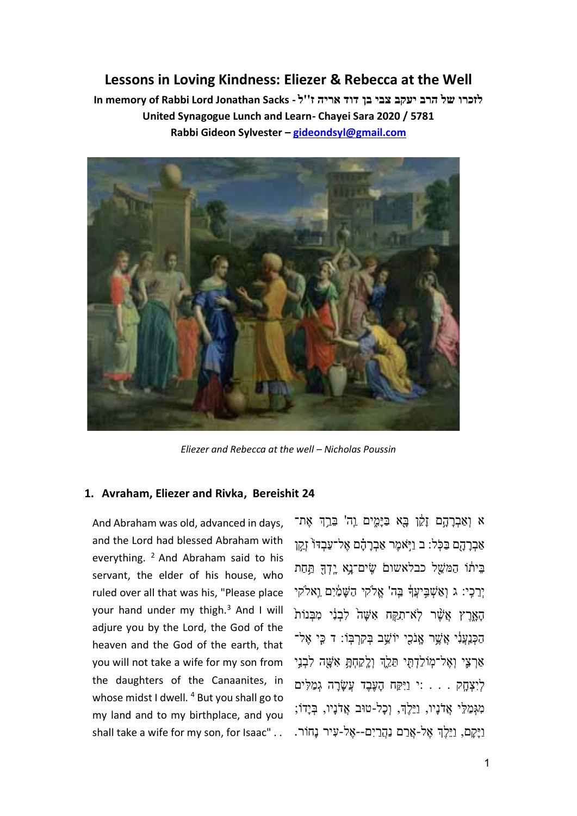# **Lessons in Loving Kindness: Eliezer & Rebecca at the Well**

לזכרו של הרב יעקב צבי בן דוד אריה ז''ל - In memory of Rabbi Lord Jonathan Sacks **United Synagogue Lunch and Learn- Chayei Sara 2020 / 5781 Rabbi Gideon Sylvester – [gideondsyl@gmail.com](mailto:gidonsyl@netvision.net.il)**



*Eliezer and Rebecca at the well – Nicholas Poussin*

## **1. Avraham, Eliezer and Rivka, Bereishit 24**

And Abraham was old, advanced in days, and the Lord had blessed Abraham with everything.  $2$  And Abraham said to his servant, the elder of his house, who ruled over all that was his, "Please place your hand under my thigh. $3$  And I will adjure you by the Lord, the God of the heaven and the God of the earth, that you will not take a wife for my son from the daughters of the Canaanites, in whose midst I dwell.<sup>4</sup> But you shall go to my land and to my birthplace, and you shall take a wife for my son, for Isaac" . .

א וְאַבְרַהֵם זַקָן בָּא בַּיָּמֶים וַה' בֵּרֶךְ אֶת־ אַבְרָהָם בַּכְּל: ב וַיְּאמֶר אַבְרָהָם אֶל־עַבְדּוֹ זְקֵן בֵיתו הַמַּשֵׁל כבלאשום שִׂים־נַא יַדְךָּ תַּחַת יְרֵכִי: ג וְאַשָׁבִּיעֲדָּ בֵּה' אֱלֹקי הַשַּׁמַ֫יִם וֵאלֹקי הָאָרֶץ אֲשֶׁר לֹא־תַקֵּח אֲשֶׁה לִבְנֵי מִבְּנוֹת הַכְּנַעֲנָי אֲשֶׁר אֲנֹכִי יוֹשֵׁב בְּקְרָבְּוֹ: ד כֵּי אֱל־ אַרְצֵי וְאֱל־מוֹלַדְתִּי תֵּלֵֽךְ וְלֵקָחָת אֲשֶׁה לִבְנֵי לְיִצְחָק . . . :י וַיִּקַח הָעֶבֶד עֲשָׂרָה גְמַלִּים מִגְּמַלֵּי אֲדֹנָיו, וַיֵּלֶךָ, וְכָל-טוּב אֲדֹנָיו, בְּיָדוֹ; וַיַּקָם, וַיֵּלְךָ אֶל-אֲרַם נַהֲרַיִם--אֱל-עִיר נַחוֹר.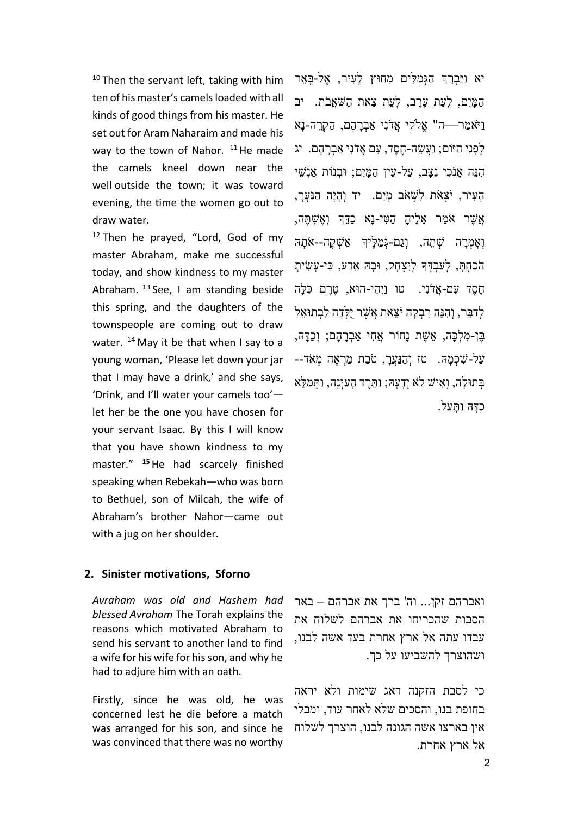$10$  Then the servant left, taking with him ten of his master's camels loaded with all kinds of good things from his master. He set out for Aram Naharaim and made his way to the town of Nahor.  $11$  He made the camels kneel down near the well outside the town; it was toward evening, the time the women go out to draw water.

 $12$  Then he prayed, "Lord, God of my master Abraham, make me successful today, and show kindness to my master Abraham.  $^{13}$  See, I am standing beside this spring, and the daughters of the townspeople are coming out to draw water.<sup>14</sup> May it be that when I say to a young woman, 'Please let down your jar that I may have a drink,' and she says, 'Drink, and I'll water your camels too' let her be the one you have chosen for your servant Isaac. By this I will know that you have shown kindness to my master." **<sup>15</sup>**He had scarcely finished speaking when Rebekah—who was born to Bethuel, son of Milcah, the wife of Abraham's brother Nahor—came out with a jug on her shoulder.

**2. Sinister motivations, Sforno**

*Avraham was old and Hashem had blessed Avraham* The Torah explains the reasons which motivated Abraham to send his servant to another land to find a wife for his wife for his son, and why he had to adjure him with an oath.

Firstly, since he was old, he was concerned lest he die before a match was arranged for his son, and since he was convinced that there was no worthy

יא וַיַּבְרֶךְ הַגְמַלִּים מְחוּץ לִעִיר, אֱל-בָּאֶר הַמִּיִם, לְעָת עָרֶב, לְעָת צָאת הַשֹּׁאֲבֹת. יב וַיֹּאמַר—ה" אֱלֹקי אֱדֹנִי אַבְרַהָם, הַקְרֵה-נַא לְפָנַי הַיּוֹם; וַעֲשֶׂה-חֶסֶד, עִם אֲדֹנִי אַבְרַהָם. יג הִנֶּה אֲנֹכִי נְצָב, עַל-עֵין הַמַּיִם; וּבְנוֹת אַנְשֵׁי הַעִּיר, יֹצְאֹת לְשָׁאֹב מַיִם. יד וְהָיַה הַנַּעֲרָ, אֲשֶ ר א מַ ר א לֶיהָ הַ ט י-נָא כַּד ְך וְאֶ שְ תֶ ה, וְאָמְרַה שְׁתֵה, וְגַם-גְמַלֵּיךָ אַשְׁקֵה--אֹתַה הֹכַחְתַ, לִעֲבָדְךָ לִיִצְחָק, וּבָה אֲדַע, כִּי-עָשִׂיתָ חֶסֶד עָם-אֲדֹנִי. טו וַיְהִי-הוּא, טֶרֶם כִּלַּה לְדָבֵר, וְהִנָּה רִבְקָה יֹצָאת אֲשֶׁר יִלְדָה לְבְתוּאֵל בֶּן-מְלְכָּה, אֵשֶׁת נָחוֹר אֲחִי אַבְרָהָם; וְכַדָּה, עַל-שָׁכְמַה. טז וְהַנַּעֲרָ, טֹבַת מַרְאֶה מְאֹד--בְתוּלָה, וְאִישׁ לֹא יִדַעַּה; וַתֲרֵד הַעַיִנַה, וַתְּמַלְּא כִדָּה וַתִּעַל.

ואברהם זקן... וה' ברך את אברהם – באר הסבות שהכריחו את אברהם לשלוח את עבדו עתה אל ארץ אחרת בעד אשה לבנו, ושהוצרך להשביעו על כך.

כי לסבת הזקנה דאג שימות ולא יראה בחופת בנו, והסכים שלא לאחר עוד, ומבלי אין בארצו אשה הגונה לבנו, הוצרך לשלוח אל ארץ אחרת.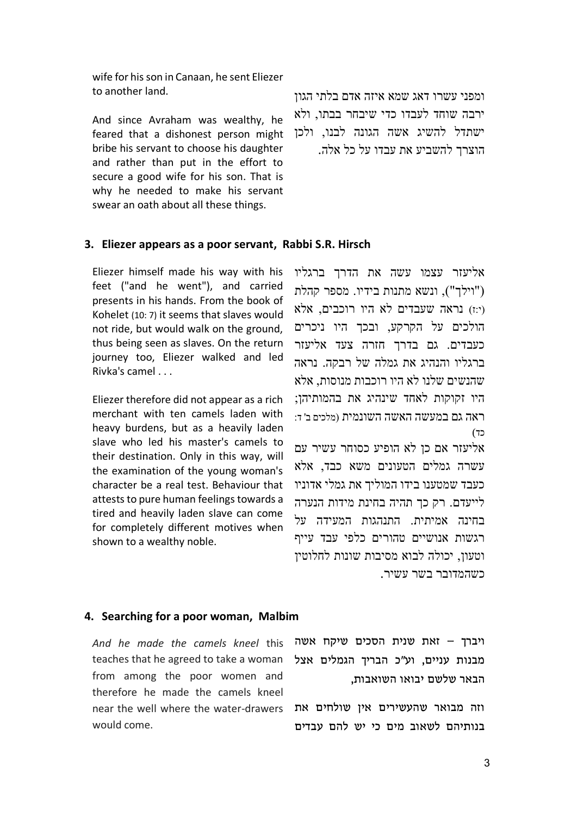wife for his son in Canaan, he sent Eliezer to another land.

And since Avraham was wealthy, he feared that a dishonest person might bribe his servant to choose his daughter and rather than put in the effort to secure a good wife for his son. That is why he needed to make his servant swear an oath about all these things.

ומפני עשרו דאג שמא איזה אדם בלתי הגון ירבה שוחד לעבדו כדי שיבחר בבתו, ולא ישתדל להשיג אשה הגונה לבנו, ולכן הוצרך להשביע את עבדו על כל אלה.

#### **3. Eliezer appears as a poor servant, Rabbi S.R. Hirsch**

Eliezer himself made his way with his feet ("and he went"), and carried presents in his hands. From the book of Kohelet (10: 7) it seems that slaves would not ride, but would walk on the ground, thus being seen as slaves. On the return journey too, Eliezer walked and led Rivka's camel . . .

Eliezer therefore did not appear as a rich merchant with ten camels laden with heavy burdens, but as a heavily laden slave who led his master's camels to their destination. Only in this way, will the examination of the young woman's character be a real test. Behaviour that attests to pure human feelings towards a tired and heavily laden slave can come for completely different motives when shown to a wealthy noble.

אליעזר עצמו עשה את הדרך ברגליו )"וילך"(, ונשא מתנות בידיו. מספר קהלת )י:ז( נראה שעבדים לא היו רוכבים, אלא הולכים על הקרקע, ובכך היו ניכרים כעבדים. גם בדרך חזרה צעד אליעזר ברגליו והנהיג את גמלה של רבקה. נראה שהנשים שלנו לא היו רוכבות מנוסות, אלא היו זקוקות לאחד שינהיג את בהמותיהן; ראה גם במעשה האשה השונמית )מלכים ב' ד: כד)

אליעזר אם כן לא הופיע כסוחר עשיר עם עשרה גמלים הטעונים משא כבד, אלא כעבד שמטענו בידו המוליך את גמלי אדוניו לייעדם. רק כך תהיה בחינת מידות הנערה בחינה אמיתית. התנהגות המעידה על רגשות אנושיים טהורים כלפי עבד עייף וטעון, יכולה לבוא מסיבות שונות לחלוטין כשהמדובר בשר עשיר.

#### **4. Searching for a poor woman, Malbim**

teaches that he agreed to take a woman from among the poor women and therefore he made the camels kneel near the well where the water-drawers וזה מבואר שהעשירים אין שולחים את would come.

*And he made the camels kneel* this ויברך – זאת שנית הסכים שיקח אשה מבנות עניים, וע״כ הבריך הגמלים אצל הבאר שלשם יבואו השואבות,

בנותיהם לשאוב מים כי יש להם עבדים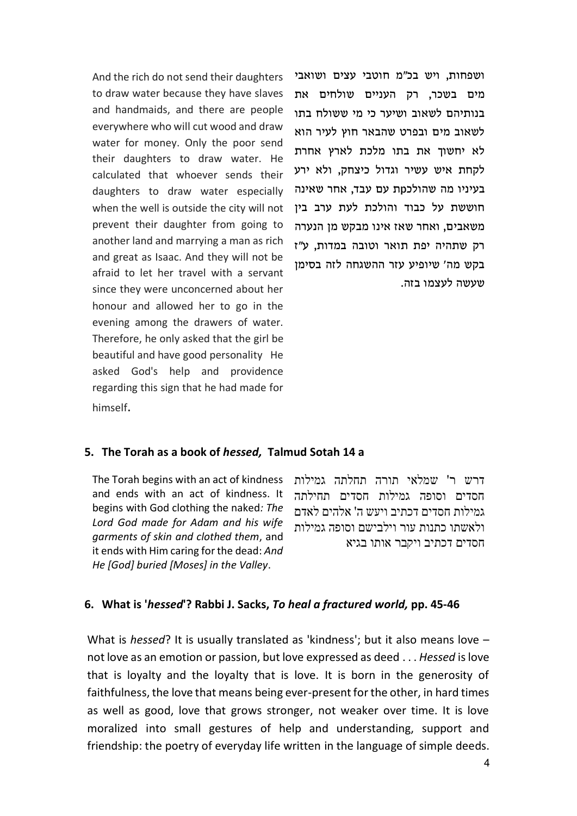And the rich do not send their daughters to draw water because they have slaves and handmaids, and there are people everywhere who will cut wood and draw water for money. Only the poor send their daughters to draw water. He calculated that whoever sends their daughters to draw water especially when the well is outside the city will not prevent their daughter from going to another land and marrying a man as rich and great as Isaac. And they will not be afraid to let her travel with a servant since they were unconcerned about her honour and allowed her to go in the evening among the drawers of water. Therefore, he only asked that the girl be beautiful and have good personality He asked God's help and providence regarding this sign that he had made for himself.

ושפחות, ויש בכ״מ חוטבי עצים ושואבי מים בשכר, רק העניים שולחים את בנותיהם לשאוב ושיער כי מי ששולח בתו לשאוב מים ובפרט שהבאר חוץ לעיר הוא לא יחשוך את בתו מלכת לארץ אחרת לקחת איש עשיר וגדול כיצחק, ולא ירע בעיניו מה שהולכpת עם עבד, אחר שאינה חוששת על כבוד והולכת לעת ערב בין משאבים, ואחר שאז אינו מב קש מן הנערה רק שתהיה יפת תואר וטובה במדות, ע״ז בקש מה׳ שיופיע עזר ההשגחה לזה בסימן שעשה לעצמו בזה.

# **5. The Torah as a book of** *hessed,* **Talmud Sotah 14 a**

The Torah begins with an act of kindness and ends with an act of kindness. It begins with God clothing the naked*: The Lord God made for Adam and his wife garments of skin and clothed them*, and it ends with Him caring for the dead: *And He [God] buried [Moses] in the Valley*.

דרש ר' שמלאי תורה תחלתה גמילות חסדים וסופה גמילות חסדים תחילתה גמילות חסדים דכתיב ויעש ה' אלהים לאדם ולאשתו כתנות עור וילבישם וסופה גמילות חסדים דכתיב ויקבר אותו בגיא

## **6. What is '***hessed***'? Rabbi J. Sacks,** *To heal a fractured world,* **pp. 45-46**

What is *hessed*? It is usually translated as 'kindness'; but it also means love – not love as an emotion or passion, but love expressed as deed . . . *Hessed* is love that is loyalty and the loyalty that is love. It is born in the generosity of faithfulness, the love that means being ever-present for the other, in hard times as well as good, love that grows stronger, not weaker over time. It is love moralized into small gestures of help and understanding, support and friendship: the poetry of everyday life written in the language of simple deeds.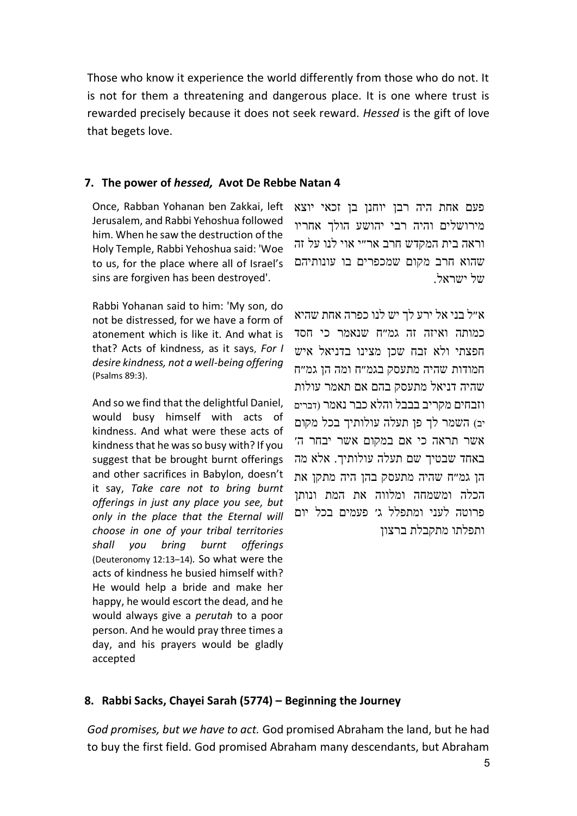Those who know it experience the world differently from those who do not. It is not for them a threatening and dangerous place. It is one where trust is rewarded precisely because it does not seek reward. *Hessed* is the gift of love that begets love.

# **7. The power of** *hessed,* **Avot De Rebbe Natan 4**

Once, Rabban Yohanan ben Zakkai, left Jerusalem, and Rabbi Yehoshua followed him. When he saw the destruction of the Holy Temple, Rabbi Yehoshua said: 'Woe to us, for the place where all of Israel's sins are forgiven has been destroyed'.

Rabbi Yohanan said to him: 'My son, do not be distressed, for we have a form of atonement which is like it. And what is that? Acts of kindness, as it says, *For I desire kindness, not a well-being offering* (Psalms 89:3).

And so we find that the delightful Daniel, would busy himself with acts of kindness. And what were these acts of kindness that he was so busy with? If you suggest that be brought burnt offerings and other sacrifices in Babylon, doesn't it say, *Take care not to bring burnt offerings in just any place you see, but only in the place that the Eternal will choose in one of your tribal territories shall you bring burnt offerings* (Deuteronomy 12:13–14)*.* So what were the acts of kindness he busied himself with? He would help a bride and make her happy, he would escort the dead, and he would always give a *perutah* to a poor person. And he would pray three times a day, and his prayers would be gladly accepted

פעם אחת היה רבן יוחנן בן זכאי יוצא מירושלים והיה רבי יהושע הולך אחריו וראה בית המקדש חרב אר״י אוי לנו על זה שהוא חרב מקום שמכפרים בו עונותיהם של ישראל.

א״ל בני אל ירע לך יש לנו כפרה אחת שהיא כמותה ואיזה זה גמ״ח שנאמר כי חסד חפצתי ולא זבח שכן מצינו בדניאל איש חמודות שהיה מתעסק בגמ״ח ומה הן גמ״ח שהיה דניאל מתעסק בהם אם תאמר עולות וזבחים מקריב בבבל והלא כבר נאמר )דברים יב) השמר לך פן תעלה עולותיך בכל מקום אשר תראה כי אם במקום אשר יבחר ה׳ באחד שבטיך שם תעלה עולותיך. אלא מה הן גמ״ח שהיה מתעסק בהן היה מתקן את הכלה ומשמחה ומלווה את המת ונותן פרוטה לעני ומתפלל ג׳ פעמים בכל יום ותפלתו מתקבלת ברצון

# **8. Rabbi Sacks, Chayei Sarah (5774) – Beginning the Journey**

*God promises, but we have to act.* God promised Abraham the land, but he had to buy the first field. God promised Abraham many descendants, but Abraham